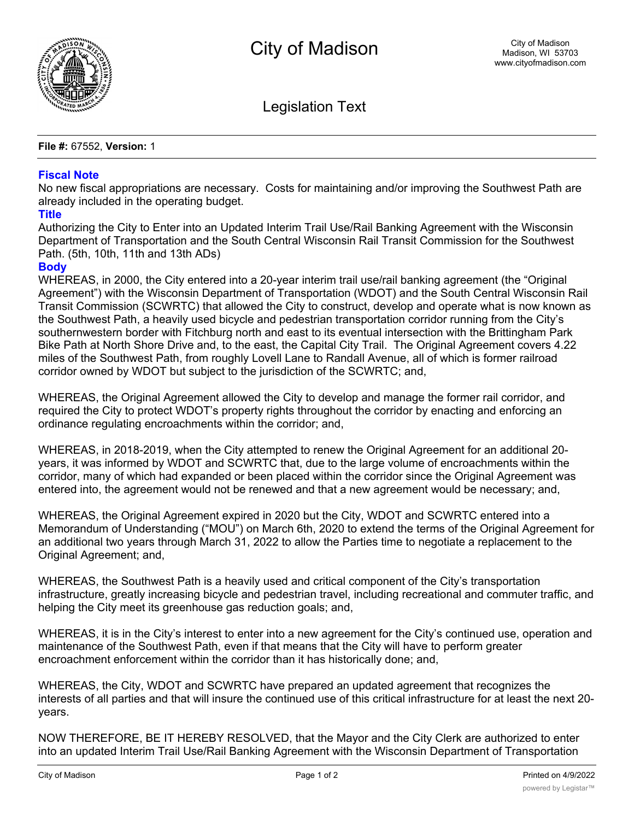

Legislation Text

**File #:** 67552, **Version:** 1

## **Fiscal Note**

No new fiscal appropriations are necessary. Costs for maintaining and/or improving the Southwest Path are already included in the operating budget.

## **Title**

Authorizing the City to Enter into an Updated Interim Trail Use/Rail Banking Agreement with the Wisconsin Department of Transportation and the South Central Wisconsin Rail Transit Commission for the Southwest Path. (5th, 10th, 11th and 13th ADs)

## **Body**

WHEREAS, in 2000, the City entered into a 20-year interim trail use/rail banking agreement (the "Original Agreement") with the Wisconsin Department of Transportation (WDOT) and the South Central Wisconsin Rail Transit Commission (SCWRTC) that allowed the City to construct, develop and operate what is now known as the Southwest Path, a heavily used bicycle and pedestrian transportation corridor running from the City's southernwestern border with Fitchburg north and east to its eventual intersection with the Brittingham Park Bike Path at North Shore Drive and, to the east, the Capital City Trail. The Original Agreement covers 4.22 miles of the Southwest Path, from roughly Lovell Lane to Randall Avenue, all of which is former railroad corridor owned by WDOT but subject to the jurisdiction of the SCWRTC; and,

WHEREAS, the Original Agreement allowed the City to develop and manage the former rail corridor, and required the City to protect WDOT's property rights throughout the corridor by enacting and enforcing an ordinance regulating encroachments within the corridor; and,

WHEREAS, in 2018-2019, when the City attempted to renew the Original Agreement for an additional 20 years, it was informed by WDOT and SCWRTC that, due to the large volume of encroachments within the corridor, many of which had expanded or been placed within the corridor since the Original Agreement was entered into, the agreement would not be renewed and that a new agreement would be necessary; and,

WHEREAS, the Original Agreement expired in 2020 but the City, WDOT and SCWRTC entered into a Memorandum of Understanding ("MOU") on March 6th, 2020 to extend the terms of the Original Agreement for an additional two years through March 31, 2022 to allow the Parties time to negotiate a replacement to the Original Agreement; and,

WHEREAS, the Southwest Path is a heavily used and critical component of the City's transportation infrastructure, greatly increasing bicycle and pedestrian travel, including recreational and commuter traffic, and helping the City meet its greenhouse gas reduction goals; and,

WHEREAS, it is in the City's interest to enter into a new agreement for the City's continued use, operation and maintenance of the Southwest Path, even if that means that the City will have to perform greater encroachment enforcement within the corridor than it has historically done; and,

WHEREAS, the City, WDOT and SCWRTC have prepared an updated agreement that recognizes the interests of all parties and that will insure the continued use of this critical infrastructure for at least the next 20 years.

NOW THEREFORE, BE IT HEREBY RESOLVED, that the Mayor and the City Clerk are authorized to enter into an updated Interim Trail Use/Rail Banking Agreement with the Wisconsin Department of Transportation